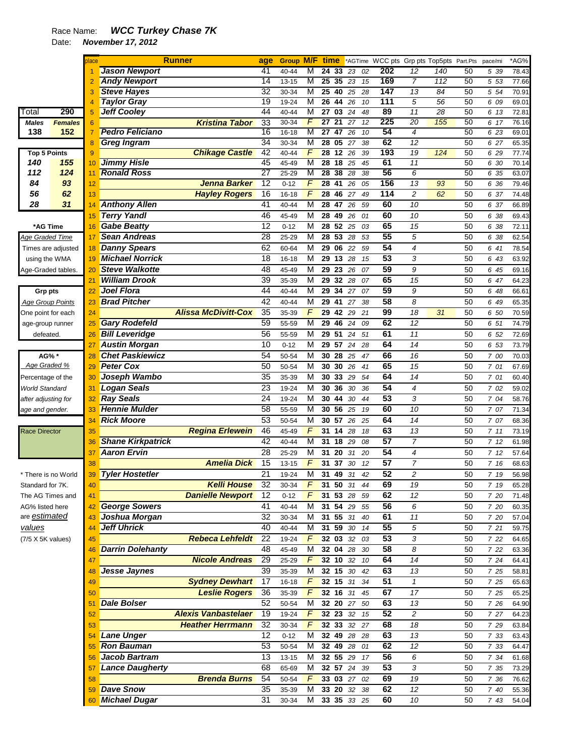## Race Name: *WCC Turkey Chase 7K*

Date: *November 17, 2012* 

|                         |                    | place          |                          | <b>Runner</b>              | age             | Group M/F time |                         |                       |    |       |                 | *AGTime WCC pts Grp pts Top5pts Part.Pts pace/mi |                 |    |      | $*AG\%$ |
|-------------------------|--------------------|----------------|--------------------------|----------------------------|-----------------|----------------|-------------------------|-----------------------|----|-------|-----------------|--------------------------------------------------|-----------------|----|------|---------|
|                         |                    |                | <b>Jason Newport</b>     |                            | 41              | 40-44          | M                       | 24 33 23 02           |    |       | 202             | 12                                               | 140             | 50 | 5 39 | 78.43   |
|                         |                    |                | <b>Andy Newport</b>      |                            | $\overline{14}$ | $13 - 15$      | М                       | $\overline{25}$<br>35 |    | 23 15 | 169             | 7                                                | 112             | 50 | 5 53 | 77.66   |
|                         |                    | 3              | <b>Steve Hayes</b>       |                            | 32              | 30-34          | M                       | $\overline{25}$<br>40 | 25 | 28    | 147             | $\overline{13}$                                  | $\overline{84}$ | 50 | 5 54 | 70.91   |
|                         |                    |                | <b>Taylor Gray</b>       |                            | $\overline{19}$ | 19-24          | M                       | $\overline{26}$<br>44 | 26 | 10    | 111             | 5                                                | $\overline{56}$ | 50 | 6 09 | 69.01   |
| <sup>-</sup> otal       | 290                | 5              | <b>Jeff Cooley</b>       |                            | 44              | 40-44          | M                       | 27 03 24              |    | 48    | 89              | 11                                               | 28              | 50 | 6 13 | 72.81   |
| <b>Males</b>            | <b>Females</b>     | 6              |                          | <b>Kristina Tabor</b>      | 33              | 30-34          | F                       | 27 <sub>21</sub>      | 27 | 12    | 225             | $\overline{20}$                                  | 155             | 50 | 6 17 | 76.16   |
| 138                     | 152                | $\overline{7}$ | <b>Pedro Feliciano</b>   |                            | $\overline{16}$ | $16 - 18$      | M                       | $\overline{27}$<br>47 | 26 | 10    | 54              | $\overline{4}$                                   |                 | 50 | 6 23 | 69.01   |
|                         |                    |                | <b>Greg Ingram</b>       |                            | 34              | 30-34          | М                       | 28 05                 | 27 | 38    | 62              | $\overline{12}$                                  |                 | 50 | 6 27 | 65.35   |
| <b>Top 5 Points</b>     |                    | 9              |                          | <b>Chikage Castle</b>      | 42              | 40-44          | F                       | $28 \t12$             | 26 | 39    | 193             | 19                                               | 124             | 50 | 6 29 | 77.74   |
| 140                     | 155                | 10             | <b>Jimmy Hisle</b>       |                            | 45              | 45-49          | M                       | 28 18 25              |    | 45    | 61              | $\overline{11}$                                  |                 | 50 | 6 30 | 70.14   |
| 112                     | 124                | 11             | <b>Ronald Ross</b>       |                            | 27              | 25-29          | М                       | $\overline{28}$<br>38 | 28 | 38    | 56              | 6                                                |                 | 50 | 6 35 | 63.07   |
|                         |                    |                |                          | Jenna Barker               |                 |                | F                       |                       |    |       | 156             |                                                  |                 |    |      |         |
| 84                      | 93                 | 12             |                          |                            | 12              | $0 - 12$       |                         | $\overline{28}$<br>41 | 26 | 05    |                 | 13                                               | 93              | 50 | 6 36 | 79.46   |
| 56                      | 62                 | 13             |                          | <b>Hayley Rogers</b>       | 16              | $16 - 18$      | F                       | 28<br>46              | 27 | 49    | 114             | $\overline{c}$                                   | 62              | 50 | 6 37 | 74.48   |
| 28                      | 31                 | 14             | <b>Anthony Allen</b>     |                            | 41              | 40-44          | M                       | 28 47                 | 26 | 59    | 60              | 10                                               |                 | 50 | 6 37 | 66.89   |
|                         |                    | 15             | <b>Terry Yandl</b>       |                            | 46              | 45-49          | M                       | 28 49                 | 26 | 01    | 60              | 10                                               |                 | 50 | 6 38 | 69.43   |
| *AG Time                |                    | 16             | <b>Gabe Beatty</b>       |                            | 12              | $0 - 12$       | $\overline{\mathsf{M}}$ | $28\ 52\ 25$          |    | 03    | 65              | 15                                               |                 | 50 | 6 38 | 72.11   |
| Age Graded Time         |                    | 17             | <b>Sean Andreas</b>      |                            | 28              | 25-29          | М                       | 28 53                 | 28 | 53    | 55              | 5                                                |                 | 50 | 6 38 | 62.54   |
|                         | Times are adjusted | 18             | <b>Danny Spears</b>      |                            | 62              | 60-64          | м                       | 29 06                 |    | 22 59 | $\overline{54}$ | 4                                                |                 | 50 | 6 41 | 78.54   |
| using the WMA           |                    | 19             | <b>Michael Norrick</b>   |                            | 18              | $16 - 18$      | M                       | 29 13 28              |    | 15    | $\overline{53}$ | 3                                                |                 | 50 | 6 43 | 63.92   |
|                         |                    | 20             | <b>Steve Walkotte</b>    |                            | 48              | 45-49          | M                       | 29 23                 | 26 | 07    | 59              | 9                                                |                 | 50 | 6 45 | 69.16   |
| Age-Graded tables.      |                    |                |                          |                            |                 |                |                         |                       |    |       | 65              |                                                  |                 |    |      |         |
|                         |                    | 21             | <b>William Drook</b>     |                            | $\overline{39}$ | 35-39          | M                       | 29<br>32              | 28 | 07    |                 | 15                                               |                 | 50 | 6 47 | 64.23   |
| Grp pts                 |                    | 22             | <b>Joel Flora</b>        |                            | 44              | 40-44          | M                       | 29<br>34              | 27 | 07    | 59              | 9                                                |                 | 50 | 6 48 | 66.61   |
| <b>Age Group Points</b> |                    | 23             | <b>Brad Pitcher</b>      |                            | 42              | 40-44          | М                       | 29 41                 | 27 | 38    | 58              | 8                                                |                 | 50 | 6 49 | 65.35   |
| One point for each      |                    | 24             |                          | <b>Alissa McDivitt-Cox</b> | $\overline{35}$ | 35-39          | F                       | 29 42                 |    | 29 21 | 99              | 18                                               | 31              | 50 | 6 50 | 70.59   |
| age-group runner        |                    | 25             | <b>Gary Rodefeld</b>     |                            | 59              | 55-59          | M                       | 29 46                 | 24 | 09    | 62              | 12                                               |                 | 50 | 6 51 | 74.79   |
| defeated.               |                    | 26             | <b>Bill Leveridge</b>    |                            | 56              | 55-59          | M                       | 29 51                 | 24 | 51    | 61              | 11                                               |                 | 50 | 6 52 | 72.69   |
|                         |                    | 27             | <b>Austin Morgan</b>     |                            | 10              | $0 - 12$       | М                       | 29 57 24 28           |    |       | 64              | 14                                               |                 | 50 | 6 53 | 73.79   |
| AG% *                   |                    | 28             | <b>Chet Paskiewicz</b>   |                            | 54              | 50-54          | M                       | 30 28                 |    | 25 47 | 66              | 16                                               |                 | 50 | 7 00 | 70.03   |
| Age Graded %            |                    |                | <b>Peter Cox</b>         |                            | 50              |                | M                       |                       |    |       | 65              | 15                                               |                 |    |      |         |
|                         |                    | 29             |                          |                            |                 | 50-54          |                         | 30 30 26              |    | 41    |                 |                                                  |                 | 50 | 7 01 | 67.69   |
| Percentage of the       |                    | 30             | Joseph Wambo             |                            | 35              | 35-39          | M                       | 30<br>33              | 29 | 54    | 64              | 14                                               |                 | 50 | 7 01 | 60.40   |
| <b>World Standard</b>   |                    | 31             | <b>Logan Seals</b>       |                            | 23              | 19-24          | M                       | 30 36                 | 30 | 36    | 54              | 4                                                |                 | 50 | 7 02 | 59.02   |
| after adjusting for     |                    | 32             | <b>Ray Seals</b>         |                            | $\overline{24}$ | 19-24          | $\overline{M}$          | 30 44                 | 30 | 44    | $\overline{53}$ | 3                                                |                 | 50 | 7 04 | 58.76   |
| age and gender.         |                    | 33             | <b>Hennie Mulder</b>     |                            | 58              | 55-59          | $\overline{M}$          | 30 56 25              |    | 19    | 60              | 10                                               |                 | 50 | 7 07 | 71.34   |
|                         |                    | 34             | <b>Rick Moore</b>        |                            | 53              | 50-54          | M                       | 30 57                 |    | 26 25 | 64              | 14                                               |                 | 50 | 7 07 | 68.36   |
| <b>Race Director</b>    |                    | 35             |                          | <b>Regina Erlewein</b>     | 46              | 45-49          | F                       | 31 14                 | 28 | 18    | 63              | 13                                               |                 | 50 | 711  | 73.19   |
|                         |                    | 36             | <b>Shane Kirkpatrick</b> |                            | 42              | 40-44          | M                       | 31 18                 | 29 | 08    | $\overline{57}$ | $\overline{7}$                                   |                 | 50 | 712  | 61.98   |
|                         |                    | 37             | <b>Aaron Ervin</b>       |                            | 28              | 25-29          | M                       | 3120                  | 31 | 20    | 54              | 4                                                |                 | 50 | 712  | 57.64   |
|                         |                    |                |                          |                            |                 |                | $\sqrt{ }$              |                       |    |       | 57              |                                                  |                 |    |      |         |
|                         |                    | 38             |                          | <b>Amelia Dick</b>         | 15              | 13-15          |                         | 31<br>37              | 30 | 12    |                 | $\overline{7}$                                   |                 | 50 | 7 16 | 68.63   |
| * There is no World     |                    | 39             | <b>Tyler Hostetler</b>   |                            | 21              | 19-24          | M                       | 31<br>49              | 31 | 42    | 52              | $\overline{c}$                                   |                 | 50 | 7 19 | 56.98   |
| Standard for 7K.        |                    |                |                          | <b>Kelli House</b>         | 32              | 30-34          | F                       | 50<br>31              | 31 | 44    | 69              | 19                                               |                 | 50 | 7 19 | 65.28   |
| The AG Times and        |                    | 41             |                          | <b>Danielle Newport</b>    | 12              | $0 - 12$       | F.                      | 31 53 28 59           |    |       | 62              | 12                                               |                 | 50 | 7 20 | 71.48   |
| AG% listed here         |                    | 42             | <b>George Sowers</b>     |                            | 41              | 40-44          | М                       | 31 54 29 55           |    |       | 56              | 6                                                |                 | 50 | 7 20 | 60.35   |
| are <i>estimated</i>    |                    | 43             | Joshua Morgan            |                            | 32              | 30-34          | М                       | 31 55 31              |    | 40    | 61              | 11                                               |                 | 50 | 7 20 | 57.04   |
| values                  |                    | 44             | <b>Jeff Uhrick</b>       |                            | 40              | 40-44          | м                       | 31 59 30 14           |    |       | 55              | 5                                                |                 | 50 | 7 21 | 59.75   |
| (7/5 X 5K values)       |                    | 45             |                          | <b>Rebeca Lehfeldt</b>     | 22              | 19-24          | $\sqrt{F}$              | 32 03 32 03           |    |       | 53              | 3                                                |                 | 50 | 7 22 | 64.65   |
|                         |                    |                | <b>Darrin Dolehanty</b>  |                            | 48              | 45-49          | M                       | 32 04 28 30           |    |       | 58              | 8                                                |                 | 50 | 7 22 |         |
|                         |                    | 46             |                          |                            |                 |                | $\mathsf{F}$            |                       |    |       |                 |                                                  |                 |    |      | 63.36   |
|                         |                    | 47             |                          | <b>Nicole Andreas</b>      | 29              | 25-29          |                         | 32 10                 | 32 | 10    | 64              | $\overline{14}$                                  |                 | 50 | 7 24 | 64.41   |
|                         |                    | 48             | Jesse Jaynes             |                            | 39              | 35-39          | М                       | 32 15 30              |    | 42    | 63              | 13                                               |                 | 50 | 7 25 | 58.81   |
|                         |                    | 49             |                          | <b>Sydney Dewhart</b>      | $\overline{17}$ | $16 - 18$      | $\mathsf{F}$            | 32 15 31              |    | 34    | 51              | $\mathbf{1}$                                     |                 | 50 | 7 25 | 65.63   |
|                         |                    | 50             |                          | <b>Leslie Rogers</b>       | 36              | 35-39          | F                       | 32 16 31              |    | 45    | 67              | 17                                               |                 | 50 | 7 25 | 65.25   |
|                         |                    | 51             | <b>Dale Bolser</b>       |                            | 52              | 50-54          | м                       | 32 20 27 50           |    |       | 63              | 13                                               |                 | 50 | 7 26 | 64.90   |
|                         |                    | 52             |                          | <b>Alexis Vanbastelaer</b> | 19              | 19-24          | F                       | 32 23 32 15           |    |       | 52              | 2                                                |                 | 50 | 7 27 | 64.23   |
|                         |                    | 53             |                          | <b>Heather Herrmann</b>    | $\overline{32}$ | 30-34          | F                       | 32 33 32 27           |    |       | 68              | 18                                               |                 | 50 | 7 29 | 63.84   |
|                         |                    | 54             | <b>Lane Unger</b>        |                            | 12              | $0 - 12$       | M                       | 32 49 28 28           |    |       | 63              | 13                                               |                 | 50 | 7 33 | 63.43   |
|                         |                    |                | <b>Ron Bauman</b>        |                            | 53              | 50-54          | м                       | 32 49 28 01           |    |       | 62              | 12                                               |                 | 50 |      |         |
|                         |                    | 55             |                          |                            |                 |                |                         |                       |    |       |                 |                                                  |                 |    | 7 33 | 64.47   |
|                         |                    | 56             | <b>Jacob Bartram</b>     |                            | 13              | $13 - 15$      | м                       | 32 55 29 17           |    |       | 56              | 6                                                |                 | 50 | 7 34 | 61.68   |
|                         |                    | 57             | <b>Lance Daugherty</b>   |                            | 68              | 65-69          | M                       | 32 57 24 39           |    |       | 53              | 3                                                |                 | 50 | 7 35 | 73.29   |
|                         |                    | 58             |                          | <b>Brenda Burns</b>        | 54              | 50-54          | $\sqrt{2}$              | 33 03 27 02           |    |       | 69              | 19                                               |                 | 50 | 7 36 | 76.62   |
|                         |                    | 59             | <b>Dave Snow</b>         |                            | 35              | 35-39          | м                       | 33 20 32 38           |    |       | 62              | 12                                               |                 | 50 | 7 40 | 55.36   |
|                         |                    | 60             | <b>Michael Dugar</b>     |                            | 31              | 30-34          | M                       | 33 35 33 25           |    |       | 60              | 10                                               |                 | 50 | 7 43 | 54.04   |
|                         |                    |                |                          |                            |                 |                |                         |                       |    |       |                 |                                                  |                 |    |      |         |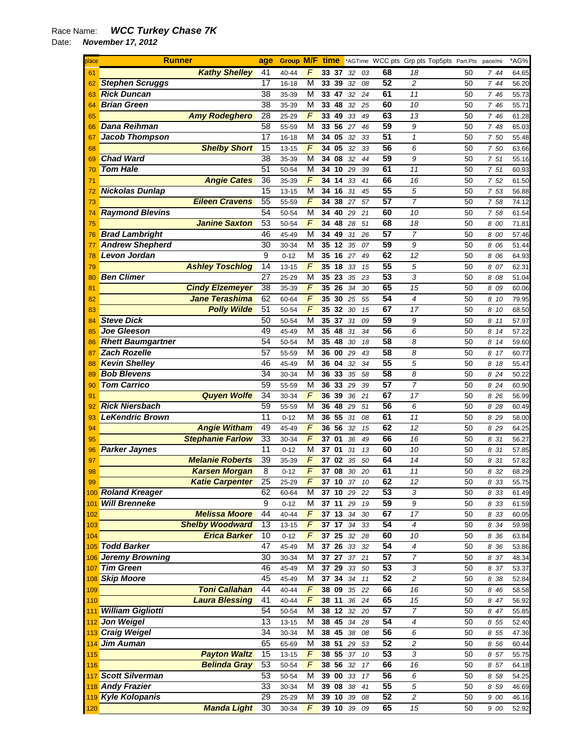## Race Name: *WCC Turkey Chase 7K*

Date: *November 17, 2012* 

| place |                          | <b>Runner</b>           | age             | Group M/F |                         | time               |                 |    |    |    | *AGTime WCC pts Grp pts Top5pts Part.Pts |    | pace/mi | *AG%  |
|-------|--------------------------|-------------------------|-----------------|-----------|-------------------------|--------------------|-----------------|----|----|----|------------------------------------------|----|---------|-------|
| 61    |                          | <b>Kathy Shelley</b>    | 41              | 40-44     | F                       | 33 37              |                 | 32 | 03 | 68 | 18                                       | 50 | 744     | 64.65 |
| 62    | <b>Stephen Scruggs</b>   |                         | 17              | 16-18     | M                       | 33                 | 39              | 32 | 08 | 52 | 2                                        | 50 | 7 44    | 56.20 |
| 63    | <b>Rick Duncan</b>       |                         | 38              | 35-39     | М                       | 33                 | 47              | 32 | 24 | 61 | 11                                       | 50 | 7 46    | 55.73 |
| 64    | <b>Brian Green</b>       |                         | 38              | 35-39     | M                       | 33                 | 48              | 32 | 25 | 60 | 10                                       | 50 | 7 46    | 55.71 |
| 65    |                          | <b>Amy Rodeghero</b>    | 28              | 25-29     | F                       | 33                 | 49              | 33 | 49 | 63 | 13                                       | 50 | 7 46    | 61.28 |
| 66    | Dana Reihman             |                         | 58              | 55-59     | М                       | 33                 | 56              | 27 | 46 | 59 | 9                                        | 50 | 7 48    | 65.03 |
| 67    | <b>Jacob Thompson</b>    |                         | 17              | 16-18     | М                       | 34                 | 05              | 32 | 33 | 51 | $\mathbf{1}$                             | 50 | 7 50    | 55.48 |
| 68    |                          | <b>Shelby Short</b>     | 15              | 13-15     | F                       | 34                 | 05              | 32 | 33 | 56 | 6                                        | 50 | 7 50    | 63.66 |
| 69    | <b>Chad Ward</b>         |                         | 38              | 35-39     | М                       | 34                 | 08              | 32 | 44 | 59 | 9                                        | 50 | 7 51    | 55.16 |
| 70    | <b>Tom Hale</b>          |                         | 51              | 50-54     | M                       | 34                 | 10              | 29 | 39 | 61 | 11                                       | 50 | 7 51    | 60.93 |
| 71    |                          | <b>Angie Cates</b>      | 36              | 35-39     | F                       | 34                 | 14              | 33 | 41 | 66 | 16                                       | 50 | 7 52    | 61.50 |
| 72    | <b>Nickolas Dunlap</b>   |                         | 15              | 13-15     | M                       | 34                 | 16              | 31 | 45 | 55 | 5                                        | 50 | 7 53    | 56.88 |
|       |                          |                         |                 |           | F                       |                    |                 |    |    | 57 | $\overline{7}$                           |    |         |       |
| 73    |                          | <b>Eileen Cravens</b>   | 55              | 55-59     |                         | 34                 | 38              | 27 | 57 |    |                                          | 50 | 7 58    | 74.12 |
| 74    | <b>Raymond Blevins</b>   |                         | 54              | 50-54     | M                       | 34                 | 40              | 29 | 21 | 60 | 10                                       | 50 | 7 58    | 61.54 |
| 75    |                          | <b>Janine Saxton</b>    | 53              | 50-54     | F                       | 34 48              |                 | 28 | 51 | 68 | 18                                       | 50 | 8 00    | 71.81 |
| 76    | <b>Brad Lambright</b>    |                         | 46              | 45-49     | М                       | 34                 | 49              | 31 | 26 | 57 | 7                                        | 50 | 8 00    | 57.46 |
| 77    | <b>Andrew Shepherd</b>   |                         | 30              | 30-34     | М                       | 35 12              |                 | 35 | 07 | 59 | 9                                        | 50 | 8 06    | 51.44 |
| 78    | Levon Jordan             |                         | 9               | $0 - 12$  | М                       | 35 16              |                 | 27 | 49 | 62 | 12                                       | 50 | 8 06    | 64.93 |
| 79    |                          | <b>Ashley Toschlog</b>  | 14              | $13 - 15$ | F                       | 35                 | 18              | 33 | 15 | 55 | 5                                        | 50 | 8 07    | 62.31 |
| 80    | <b>Ben Climer</b>        |                         | 27              | 25-29     | М                       | 35                 | 23              | 35 | 23 | 53 | 3                                        | 50 | 8 08    | 51.04 |
| 81    |                          | <b>Cindy Elzemeyer</b>  | 38              | 35-39     | F                       | 35 26              |                 | 34 | 30 | 65 | 15                                       | 50 | 8 09    | 60.06 |
| 82    |                          | <b>Jane Terashima</b>   | 62              | 60-64     | $\overline{F}$          | 35                 | 30              | 25 | 55 | 54 | 4                                        | 50 | 8 10    | 79.95 |
| 83    |                          | <b>Polly Wilde</b>      | 51              | 50-54     | F                       | 35                 | 32              | 30 | 15 | 67 | 17                                       | 50 | 8 10    | 68.50 |
| 84    | <b>Steve Dick</b>        |                         | 50              | 50-54     | М                       | 35                 | 37              | 31 | 09 | 59 | 9                                        | 50 | 811     | 57.97 |
| 85    | <b>Joe Gleeson</b>       |                         | 49              | 45-49     | М                       | 35                 | 48              | 31 | 34 | 56 | 6                                        | 50 | 8 14    | 57.22 |
| 86    | <b>Rhett Baumgartner</b> |                         | 54              | 50-54     | М                       | 35                 | 48              | 30 | 18 | 58 | 8                                        | 50 | 8 14    | 59.60 |
| 87    | <b>Zach Rozelle</b>      |                         | 57              | 55-59     | М                       | 36                 | 00              | 29 | 43 | 58 | 8                                        | 50 | 8 17    | 60.77 |
| 88    | <b>Kevin Shelley</b>     |                         | 46              | 45-49     | М                       | 36                 | 04              | 32 | 34 | 55 | 5                                        | 50 | 8 18    | 55.47 |
| 89    | <b>Bob Blevens</b>       |                         | 34              | 30-34     | M                       | 36                 | 33              | 35 | 58 | 58 | 8                                        | 50 | 8 24    | 50.22 |
| 90    | <b>Tom Carrico</b>       |                         | 59              | 55-59     | М                       | 36                 | 33              | 29 | 39 | 57 | $\overline{7}$                           | 50 | 8 24    | 60.90 |
| 91    |                          | <b>Quyen Wolfe</b>      | 34              | 30-34     | F                       | 36                 | 39              | 36 | 21 | 67 | 17                                       | 50 | 8 26    | 56.99 |
| 92    | <b>Rick Niersbach</b>    |                         | 59              | 55-59     | М                       | 36                 | 48              | 29 | 51 | 56 | 6                                        | 50 | 8 28    | 60.49 |
| 93    | <b>LeKendric Brown</b>   |                         | 11              | $0 - 12$  | М                       | 36 55              |                 | 31 | 08 | 61 | 11                                       | 50 | 8 29    | 58.00 |
| 94    |                          | <b>Angie Witham</b>     | 49              | 45-49     | F                       | 36 56              |                 | 32 | 15 | 62 | 12                                       | 50 | 8 29    | 64.25 |
| 95    |                          | <b>Stephanie Farlow</b> | 33              | 30-34     | F                       | 37                 | 01              | 36 | 49 | 66 | 16                                       | 50 | 8 31    | 56.27 |
|       | <b>Parker Jaynes</b>     |                         | 11              | $0 - 12$  | М                       | 37                 | 01              | 31 | 13 | 60 | 10                                       | 50 | 8 31    |       |
| 96    |                          | <b>Melanie Roberts</b>  | 39              |           | F                       | 37                 | 02              |    |    | 64 | 14                                       | 50 |         | 57.85 |
| 97    |                          |                         | 8               | 35-39     | F                       |                    |                 | 35 | 50 | 61 |                                          |    | 8 31    | 57.82 |
| 98    |                          | <b>Karsen Morgan</b>    | $\overline{25}$ | $0 - 12$  |                         | 37                 | 08              | 30 | 20 |    | 11                                       | 50 | 8 32    | 68.29 |
| 99    |                          | <b>Katie Carpenter</b>  |                 | 25-29     | F                       | 37                 | 10              | 37 | 10 | 62 | 12                                       | 50 | 8 33    | 55.75 |
|       | 100 Roland Kreager       |                         | 62              | 60-64     | М                       | 37 10 29           |                 |    | 22 | 53 | 3                                        | 50 | 8 33    | 61.49 |
| 101   | <b>Will Brenneke</b>     |                         | 9               | $0 - 12$  | M                       | 37 11              |                 | 29 | 19 | 59 | 9                                        | 50 | 8 33    | 61.59 |
| 102   |                          | <b>Melissa Moore</b>    | 44              | 40-44     | F                       | 37 13 34           |                 |    | 30 | 67 | 17                                       | 50 | 8 33    | 60.05 |
| 103   |                          | <b>Shelby Woodward</b>  | $\overline{13}$ | 13-15     | $\overline{F}$          | 37 17              |                 | 34 | 33 | 54 | 4                                        | 50 | 8 34    | 59.98 |
| 104   |                          | <b>Erica Barker</b>     | 10              | $0 - 12$  | F                       | 37                 | $\overline{25}$ | 32 | 28 | 60 | 10                                       | 50 | 8 36    | 63.84 |
|       | 105 Todd Barker          |                         | 47              | 45-49     | M                       | 37                 | $\overline{26}$ | 33 | 32 | 54 | 4                                        | 50 | 8 36    | 53.86 |
|       | 106 Jeremy Browning      |                         | 30              | 30-34     | M                       | $\overline{37}$ 27 |                 | 37 | 21 | 57 | $\overline{7}$                           | 50 | 8 37    | 48.34 |
| 107   | <b>Tim Green</b>         |                         | 46              | 45-49     | M                       | 37                 | 29              | 33 | 50 | 53 | 3                                        | 50 | 8 37    | 53.37 |
| 108   | <b>Skip Moore</b>        |                         | 45              | 45-49     | $\overline{\mathsf{M}}$ | 37 34              |                 | 34 | 11 | 52 | $\overline{c}$                           | 50 | 8 38    | 52.84 |
| 109   |                          | <b>Toni Callahan</b>    | 44              | 40-44     | F                       | 38 09              |                 | 35 | 22 | 66 | 16                                       | 50 | 8 4 6   | 58.58 |
| 110   |                          | <b>Laura Blessing</b>   | 41              | 40-44     | F                       | 38 11              |                 | 36 | 24 | 65 | 15                                       | 50 | 8 47    | 56.92 |
| 111   | <b>William Gigliotti</b> |                         | 54              | 50-54     | M                       | 38 12              |                 | 32 | 20 | 57 | $\overline{7}$                           | 50 | 8 47    | 55.85 |
|       | 112 Jon Weigel           |                         | $\overline{13}$ | $13 - 15$ | M                       | 38 45              |                 | 34 | 28 | 54 | 4                                        | 50 | 8 55    | 52.40 |
|       | 113 Craig Weigel         |                         | 34              | 30-34     | M                       | 38                 | 45              | 38 | 08 | 56 | 6                                        | 50 | 8 55    | 47.36 |
| 114   | Jim Auman                |                         | 65              | 65-69     | M                       | 38 51              |                 | 29 | 53 | 52 | 2                                        | 50 | 8 56    | 60.44 |
| 115   |                          | <b>Payton Waltz</b>     | 15              | $13 - 15$ | $\overline{F}$          | 38 55              |                 | 37 | 10 | 53 | 3                                        | 50 | 8 57    | 55.75 |
| 116   |                          | <b>Belinda Gray</b>     | 53              | 50-54     | F                       | 38 56 32           |                 |    | 17 | 66 | 16                                       | 50 | 8 57    | 64.18 |
| 117   | <b>Scott Silverman</b>   |                         | 53              | 50-54     | M                       | 39 00              |                 | 33 | 17 | 56 | 6                                        | 50 | 8 58    | 54.25 |
|       | <b>Andy Frazier</b>      |                         | 33              | 30-34     | M                       | $39$ $08$          |                 | 38 |    | 55 | 5                                        | 50 |         |       |
| 118   |                          |                         |                 |           |                         |                    |                 |    | 41 |    |                                          |    | 8 59    | 46.69 |
|       | 119 Kyle Kolopanis       |                         | 29              | 25-29     | М                       | 39 10              |                 | 39 | 08 | 52 | $\overline{\mathbf{c}}$                  | 50 | 9 00    | 46.16 |
| 120   |                          | <b>Manda Light</b>      | 30              | 30-34     | F                       | 39 10              |                 | 39 | 09 | 65 | 15                                       | 50 | 9 00    | 52.92 |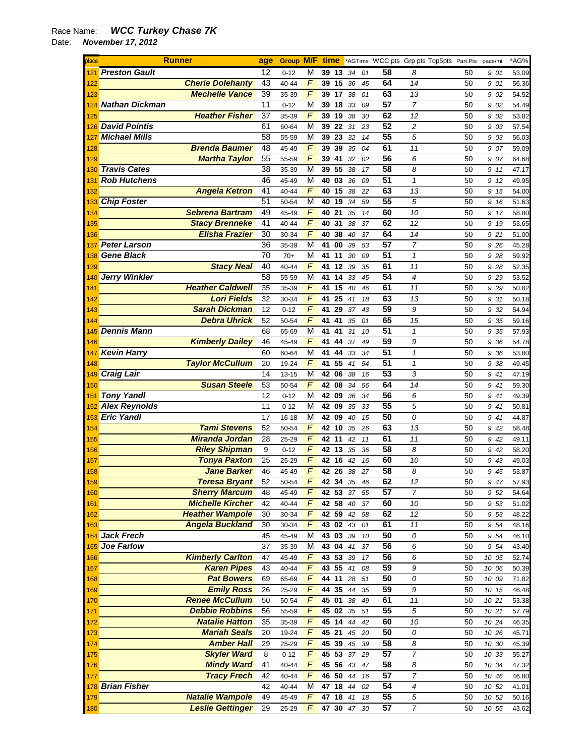## Race Name: *WCC Turkey Chase 7K*

Date: *November 17, 2012* 

| place      | <b>Runner</b>                                   | age      | <b>Group M/F</b> |                     | time     |          |          |          |                 |                     | *AGTime WCC pts Grp pts Top5pts Part.Pts | pace/mi      | *AG%           |
|------------|-------------------------------------------------|----------|------------------|---------------------|----------|----------|----------|----------|-----------------|---------------------|------------------------------------------|--------------|----------------|
| 121        | <b>Preston Gault</b>                            | 12       | $0 - 12$         | М                   | 39 13    |          | 34       | 01       | 58              | 8                   | 50                                       | 901          | 53.09          |
| 122        | <b>Cherie Dolehanty</b>                         | 43       | 40-44            | F                   |          | 39 15    | 36       | 45       | 64              | 14                  | 50                                       | 9 01         | 56.36          |
| 123        | <b>Mechelle Vance</b>                           | 39       | 35-39            | F                   | 39 17    |          | 38       | 01       | 63              | 13                  | 50                                       | 9 02         | 54.52          |
| 124        | <b>Nathan Dickman</b>                           | 11       | $0 - 12$         | М                   |          | 39 18    | 33       | 09       | 57              | $\overline{7}$      | 50                                       | 9 02         | 54.49          |
| 125        | <b>Heather Fisher</b>                           | 37       | 35-39            | F                   | 39       | 19       | 38       | 30       | 62              | 12                  | 50                                       | 9 02         | 53.82          |
|            | 126 David Pointis                               | 61       | 60-64            | М                   |          | 39 22    | 31       | 23       | 52              | 2                   | 50                                       | 9 03         | 57.54          |
| 127        | <b>Michael Mills</b>                            | 58       | 55-59            | M                   | 39       | 23       | 32       | 14       | 55              | 5                   | 50                                       | 9 03         | 56.03          |
| 128        | <b>Brenda Baumer</b>                            | 48       | 45-49            | F                   | 39       | 39       | 35       | 04       | 61              | 11                  | 50                                       | 907          | 59.09          |
| 129        | <b>Martha Taylor</b>                            | 55       | 55-59            | F                   | 39       | 41       | 32       | 02       | 56              | 6                   | 50                                       | 9 07         | 64.68          |
| 130        | <b>Travis Cates</b>                             | 38       | 35-39            | М                   | 39       | 55       | 38       | 17       | $\overline{58}$ | 8                   | 50                                       | 9 11         | 47.17          |
| 131        | <b>Rob Hutchens</b>                             | 46       | 45-49            | М                   | 40       | 03       | 36       | 09       | $\overline{51}$ | $\mathbf{1}$        | 50                                       | 9 12         | 49.95          |
| 132        | <b>Angela Ketron</b>                            | 41       | 40-44            | $\overline{F}$      | 40       | 15       | 38       | 22       | 63              | 13                  | 50                                       | 9 15         | 54.00          |
| 133        | <b>Chip Foster</b>                              | 51       | 50-54            | М                   | 40       | 19       | 34       | 59       | 55              | 5                   | 50                                       | 9 16         | 51.63          |
| 134        | <b>Sebrena Bartram</b>                          | 49       | 45-49            | F                   | 40       | 21       | 35       | 14       | 60              | 10                  | 50                                       | 9 17         | 58.80          |
| 135        | <b>Stacy Brenneke</b>                           | 41       | 40-44            | F                   | 40       | 31       | 38       | 37       | 62              | 12                  | 50                                       | 9 19         | 53.65          |
| 136        | <b>Elisha Frazier</b>                           | 30       | 30-34            | F                   | 40       | 38       | 40       | 37       | 64              | 14                  | 50                                       | 9 21         | 51.00          |
| 137        | <b>Peter Larson</b>                             | 36       | 35-39            | М                   | 41       | 00       | 39       | 53       | 57              | 7                   | 50                                       | 9 26         | 45.28          |
| 138        | <b>Gene Black</b>                               | 70       | $70+$            | М                   | 41       | 11       | 30       | 09       | 51              | 1                   | 50                                       | 9 28         | 59.92          |
| 139        | <b>Stacy Neal</b>                               | 40       | 40-44            | F                   | 41       | 12       | 39       | 35       | 61              | 11                  | 50                                       | 9 28         | 52.35          |
| 140        | <b>Jerry Winkler</b><br><b>Heather Caldwell</b> | 58       | 55-59            | M                   | 41       | 14       | 33       | 45       | 54              | $\overline{4}$      | 50                                       | 9 2 9        | 53.52          |
| 141        |                                                 | 35       | 35-39            | F<br>$\overline{F}$ | 41       | 15       | 40       | 46       | 61              | 11                  | 50                                       | 9 2 9        | 50.82          |
| 142        | <b>Lori Fields</b><br><b>Sarah Dickman</b>      | 32       | 30-34            | F                   | 41<br>41 | 25<br>29 | 41       | 18       | 63<br>59        | 13                  | 50                                       | 9 31         | 50.18          |
| 143        | <b>Debra Uhrick</b>                             | 12       | $0 - 12$         | F                   | 41       | 41       | 37       | 43       | 65              | 9                   | 50                                       | 9 32         | 54.94          |
| 144        | <b>Dennis Mann</b>                              | 52       | 50-54            | М                   | 41       | 41       | 35       | 01       | 51              | 15<br>1             | 50<br>50                                 | 9 35         | 59.16          |
| 145        | <b>Kimberly Dailey</b>                          | 68<br>46 | 65-69<br>45-49   | F                   | 41       | 44       | 31<br>37 | 10<br>49 | 59              | 9                   | 50                                       | 9 35<br>9 36 | 57.93          |
| 146<br>147 | <b>Kevin Harry</b>                              | 60       | 60-64            | М                   | 41       | 44       | 33       | 34       | 51              | 1                   | 50                                       | 9 36         | 54.78<br>53.80 |
| 148        | <b>Taylor McCullum</b>                          | 20       | 19-24            | F                   | 41       | 55       | 41       | 54       | $\overline{51}$ | $\pmb{\mathcal{1}}$ | 50                                       | 9 38         | 49.45          |
| 149        | <b>Craig Lair</b>                               | 14       | 13-15            | M                   | 42       | 06       | 38       | 16       | 53              | 3                   | 50                                       | 9 41         | 47.19          |
| 150        | <b>Susan Steele</b>                             | 53       | 50-54            | F                   | 42       | 08       | 34       | 56       | 64              | 14                  | 50                                       | 9 41         | 59.30          |
| 151        | <b>Tony Yandl</b>                               | 12       | $0 - 12$         | М                   | 42 09    |          | 36       | 34       | 56              | 6                   | 50                                       | 9 41         | 49.39          |
| 152        | <b>Alex Reynolds</b>                            | 11       | $0 - 12$         | М                   | 42       | 09       | 35       | 33       | 55              | 5                   | 50                                       | 9 41         | 50.81          |
| 153        | <b>Eric Yandl</b>                               | 17       | 16-18            | М                   | 42 09    |          | 40       | 15       | 50              | 0                   | 50                                       | 9 41         | 44.87          |
| 154        | <b>Tami Stevens</b>                             | 52       | 50-54            | F                   | 42       | 10       | 35       | 26       | 63              | 13                  | 50                                       | 9 42         | 58.48          |
| 155        | <b>Miranda Jordan</b>                           | 28       | 25-29            | F                   | 42 11    |          | 42       | 11       | 61              | 11                  | 50                                       | 9 42         | 49.11          |
| 156        | <b>Riley Shipman</b>                            | 9        | $0 - 12$         | F                   |          | 42 13    | 35       | 36       | 58              | 8                   | 50                                       | 9 42         | 58.20          |
| 157        | <b>Tonya Paxton</b>                             | 25       | 25-29            | F                   | 42 16    |          | 42       | 16       | 60              | 10                  | 50                                       | 9 43         | 49.03          |
| 158        | <b>Jane Barker</b>                              | 46       | 45-49            | F                   |          | 42 26    | 38       | 27       | 58              | 8                   | 50                                       | 9 45         | 53.87          |
| 159        | <b>Teresa Bryant</b>                            | 52       | 50-54            | $\overline{F}$      |          | 42 34 35 |          | 46       | 62              | 12                  | 50                                       | 9 47         | 57.93          |
| 160        | <b>Sherry Marcum</b>                            | 48       | 45-49            | F                   |          | 42 53 37 |          | 55       | 57              | $\overline{7}$      | 50                                       | 9 52         | 54.64          |
| 161        | <b>Michelle Kircher</b>                         | 42       | $40 - 44$        | F                   |          | 42 58    | 40       | 37       | 60              | 10                  | 50                                       | 9 53         | 51.02          |
| 162        | <b>Heather Wampole</b>                          | 30       | 30-34            | F                   |          | 42 59    | 42       | 58       | 62              | 12                  | 50                                       | 9 53         | 48.22          |
| 163        | <b>Angela Buckland</b>                          | 30       | 30-34            | F                   |          | 43 02 43 |          | 01       | 61              | 11                  | 50                                       | 9 54         | 48.16          |
|            | 164 Jack Frech                                  | 45       | 45-49            | М                   |          | 43 03    | 39       | 10       | 50              | 0                   | 50                                       | 9 54         | 46.10          |
|            | 165 Joe Farlow                                  | 37       | 35-39            | М                   |          | 43 04 41 |          | 37       | 56              | 6                   | 50                                       | 9 54         | 43.40          |
| 166        | <b>Kimberly Carlton</b>                         | 47       | 45-49            | F                   |          | 43 53    | 39       | 17       | 56              | 6                   | 50                                       | 10 05        | 52.74          |
| 167        | <b>Karen Pipes</b>                              | 43       | $40 - 44$        | F                   |          | 43 55    | 41       | 08       | 59              | 9                   | 50                                       | 10 06        | 50.39          |
| 168        | <b>Pat Bowers</b>                               | 69       | 65-69            | $\overline{F}$      |          | 44 11    | 28       | 51       | 50              | 0                   | 50                                       | 10 09        | 71.82          |
| 169        | <b>Emily Ross</b>                               | 26       | 25-29            | $\overline{F}$      |          | 44 35    | 44       | 35       | 59              | $\boldsymbol{9}$    | 50                                       | 10 15        | 46.48          |
| 170        | <b>Renee McCullum</b>                           | 50       | 50-54            | F                   | 45 01    |          | 38       | 49       | 61              | 11                  | 50                                       | 10 21        | 53.38          |
| 171        | <b>Debbie Robbins</b>                           | 56       | 55-59            | F                   |          | 45 02 35 |          | 51       | $\overline{55}$ | $\sqrt{5}$          | 50                                       | 10 21        | 57.79          |
| 172        | <b>Natalie Hatton</b>                           | 35       | 35-39            | F                   |          | 45 14 44 |          | 42       | 60              | 10                  | 50                                       | 10 24        | 46.35          |
| 173        | <b>Mariah Seals</b>                             | 20       | 19-24            | F                   | 45 21    |          | 45       | 20       | 50              | 0                   | 50                                       | 10 26        | 45.71          |
| 174        | <b>Amber Hall</b>                               | 29       | 25-29            | F                   |          | 45 39    | 45       | 39       | 58              | 8                   | 50                                       | 10 30        | 45.39          |
| 175        | <b>Skyler Ward</b>                              | 8        | $0 - 12$         | $\overline{F}$      |          | 45 53    | 37       | 29       | 57              | $\overline{7}$      | 50                                       | 10 33        | 55.27          |
| 176        | <b>Mindy Ward</b>                               | 41       | 40-44            | $\overline{F}$      |          | 45 56 43 |          | 47       | 58              | 8                   | 50                                       | 10 34        | 47.32          |
| 177        | <b>Tracy Frech</b>                              | 42       | 40-44            | F                   |          | 46 50    | 44       | 16       | 57              | $\overline{7}$      | 50                                       | 10 46        | 46.80          |
|            | 178 Brian Fisher                                | 42       | $40 - 44$        | М                   |          | 47 18 44 |          | 02       | 54              | $\boldsymbol{4}$    | 50                                       | 10 52        | 41.01          |
| 179        | <b>Natalie Wampole</b>                          | 49       | 45-49            | F                   |          | 47 18 41 |          | 18       | 55              | $\sqrt{5}$          | 50                                       | 10 52        | 50.16          |
| 180        | <b>Leslie Gettinger</b>                         | 29       | 25-29            | F                   |          |          | 47 30 47 | 30       | 57              | $\overline{7}$      | 50                                       | 10 55        | 43.62          |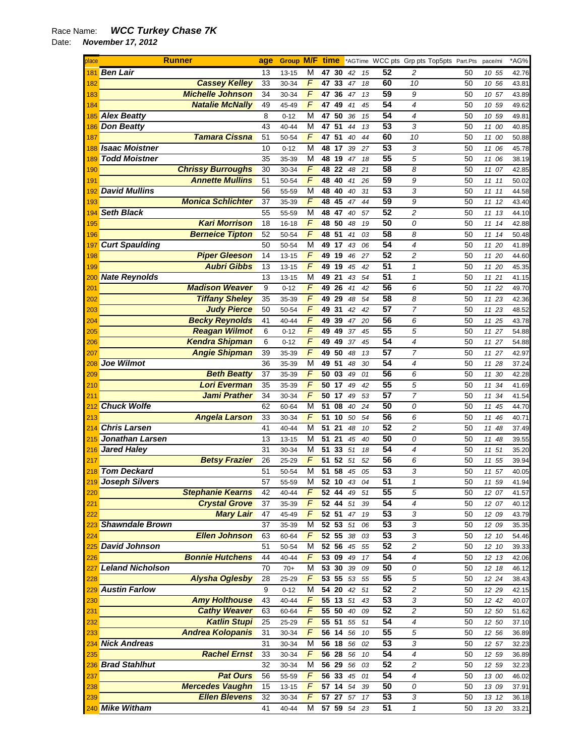## Race Name: *WCC Turkey Chase 7K*  Date: *November 17, 2012*

| place |                         | <b>Runner</b>            | age | Group M/F time |                |                    |    |    |    |                 | *AGTime WCC pts Grp pts Top5pts Part.Pts |          | pace/mi        | *AG%  |
|-------|-------------------------|--------------------------|-----|----------------|----------------|--------------------|----|----|----|-----------------|------------------------------------------|----------|----------------|-------|
| 181   | <b>Ben Lair</b>         |                          | 13  | 13-15          | М              | 47                 | 30 | 42 | 15 | 52              | 2                                        | 50       | 10 55          | 42.76 |
| 182   |                         | <b>Cassey Kelley</b>     | 33  | 30-34          | F              | 47                 | 33 | 47 | 18 | 60              | 10                                       | 50       | 10 56          | 43.81 |
| 183   |                         | <b>Michelle Johnson</b>  | 34  | 30-34          | F              | 47                 | 36 | 47 | 13 | 59              | 9                                        | 50       | 10 57          | 43.89 |
| 184   |                         | <b>Natalie McNally</b>   | 49  | 45-49          | F              | 47                 | 49 | 41 | 45 | 54              | 4                                        | 50       | 10 59          | 49.62 |
| 185   | <b>Alex Beatty</b>      |                          | 8   | $0 - 12$       | М              | 47                 | 50 | 36 | 15 | 54              | 4                                        | 50       | 10 59          | 49.81 |
| 186   | <b>Don Beatty</b>       |                          | 43  | 40-44          | М              | 47                 | 51 | 44 | 13 | 53              | 3                                        | 50       | 11<br>00       | 40.85 |
| 187   |                         | <b>Tamara Cissna</b>     | 51  | 50-54          | F              | 47 51              |    | 40 | 44 | 60              | 10                                       | 50       | 11 00          | 50.88 |
| 188   | <b>Isaac Moistner</b>   |                          | 10  | $0 - 12$       | M              | 48 17              |    | 39 | 27 | 53              | 3                                        | 50       | 11 06          | 45.78 |
| 189   | <b>Todd Moistner</b>    |                          | 35  | 35-39          | M              | 48                 | 19 | 47 | 18 | $\overline{55}$ | 5                                        | 50       | 11 06          | 38.19 |
| 190   |                         | <b>Chrissy Burroughs</b> | 30  | 30-34          | $\overline{F}$ | 48                 | 22 | 48 | 21 | 58              | 8                                        | 50       | 11<br>07       | 42.85 |
| 191   |                         | <b>Annette Mullins</b>   | 51  | 50-54          | F              | 48                 | 40 | 41 | 26 | 59              | 9                                        | 50       | 11<br>11       | 50.02 |
| 192   | <b>David Mullins</b>    |                          | 56  | 55-59          | M              | 48 40              |    | 40 | 31 | 53              | 3                                        | 50       | 1111           | 44.58 |
| 193   |                         | <b>Monica Schlichter</b> | 37  | 35-39          | F              | 48                 | 45 | 47 | 44 | 59              | 9                                        | 50       | 11<br>12       | 43.40 |
| 194   | <b>Seth Black</b>       |                          | 55  | 55-59          | M              | 48 47              |    | 40 | 57 | 52              | 2                                        | 50       | 11 13          | 44.10 |
| 195   |                         | <b>Kari Morrison</b>     | 18  | 16-18          | F              | 48 50              |    | 48 | 19 | 50              | 0                                        | 50       | 11 14          | 42.88 |
| 196   |                         | <b>Berneice Tipton</b>   | 52  | 50-54          | F              | 48 51              |    | 41 | 03 | 58              | 8                                        | 50       | 11 14          | 50.48 |
| 197   | <b>Curt Spaulding</b>   |                          | 50  | 50-54          | M              | 49 17              |    | 43 | 06 | $\overline{54}$ | 4                                        | 50       | 11 20          | 41.89 |
| 198   |                         | <b>Piper Gleeson</b>     | 14  | $13 - 15$      | F              | 49 19              |    | 46 | 27 | 52              | 2                                        | 50       | 11 20          | 44.60 |
| 199   |                         | <b>Aubri Gibbs</b>       | 13  | $13 - 15$      | $\overline{F}$ | 49                 | 19 | 45 | 42 | 51              | $\mathbf{1}$                             | 50       | 11<br>20       | 45.35 |
| 200   | <b>Nate Reynolds</b>    |                          | 13  | 13-15          | M              | 49 21              |    | 43 | 54 | 51              | $\mathbf{1}$                             | 50       | 11 21          | 41.15 |
| 201   |                         | <b>Madison Weaver</b>    | 9   | $0 - 12$       | F              | 49 26              |    | 41 | 42 | 56              | 6                                        | 50       | 11 22          | 49.70 |
| 202   |                         | <b>Tiffany Sheley</b>    | 35  | 35-39          | $\overline{F}$ | 49 29              |    | 48 | 54 | 58              | 8                                        | 50       | 11 23          | 42.36 |
| 203   |                         | <b>Judy Pierce</b>       | 50  | 50-54          | F              | 49                 | 31 | 42 | 42 | 57              | 7                                        | 50       | 11 23          | 48.52 |
| 204   |                         | <b>Becky Reynolds</b>    | 41  | 40-44          | F              | 49                 | 39 | 47 | 20 | 56              | 6                                        | 50       | 11 25          | 43.78 |
| 205   |                         | <b>Reagan Wilmot</b>     | 6   | $0 - 12$       | F              | 49                 | 49 | 37 | 45 | 55              | 5                                        | 50       | 11 27          | 54.88 |
| 206   |                         | <b>Kendra Shipman</b>    | 6   | $0 - 12$       | F              | 49                 | 49 | 37 | 45 | $\overline{54}$ | 4                                        | 50       | 11 27          | 54.88 |
| 207   |                         | <b>Angie Shipman</b>     | 39  | 35-39          | F              | 49                 | 50 | 48 | 13 | $\overline{57}$ | 7                                        | 50       | 11 27          | 42.97 |
| 208   | <b>Joe Wilmot</b>       |                          | 36  | 35-39          | M              | 49                 | 51 | 48 | 30 | 54              | 4                                        | 50       | 11 28          | 37.24 |
| 209   |                         | <b>Beth Beatty</b>       | 37  | 35-39          | F              | 50                 | 03 | 49 | 01 | 56              | 6                                        | 50       | 11 30          | 42.28 |
| 210   |                         | <b>Lori Everman</b>      | 35  | 35-39          | F              | 50 17              |    | 49 | 42 | 55              | 5                                        | 50       | 11 34          | 41.69 |
| 211   |                         | <b>Jami Prather</b>      | 34  | 30-34          | F              | 50 17              |    | 49 | 53 | 57              | 7                                        | 50       | 11<br>34       | 41.54 |
| 212   | <b>Chuck Wolfe</b>      |                          | 62  | 60-64          | М              | 51                 | 08 | 40 | 24 | 50              | 0                                        | 50       | 11 45          | 44.70 |
| 213   |                         | <b>Angela Larson</b>     | 33  | 30-34          | F              | 51 10              |    | 50 | 54 | 56              | 6                                        | 50       | 11 46          | 40.71 |
| 214   | <b>Chris Larsen</b>     |                          | 41  | 40-44          | M              | 51                 | 21 | 48 | 10 | $\overline{52}$ | $\overline{c}$                           | 50       | 11 48          | 37.49 |
| 215   | Jonathan Larsen         |                          | 13  | 13-15          | М              | 51                 | 21 | 45 | 40 | 50              | 0                                        | 50       | 11<br>48       | 39.55 |
| 216   | <b>Jared Haley</b>      |                          | 31  | 30-34          | M              | 51                 | 33 | 51 | 18 | 54              | 4                                        | 50       | 11<br>51       | 35.20 |
| 217   |                         | <b>Betsy Frazier</b>     | 26  | 25-29          | F              | 51                 | 52 | 51 | 52 | 56              | 6                                        | 50       | 11 55          | 39.94 |
| 218   | <b>Tom Deckard</b>      |                          | 51  | 50-54          | M              | 51                 | 58 | 45 | 05 | 53              | 3                                        | 50       | 11 57          | 40.05 |
| 219   | Joseph Silvers          |                          | 57  | 55-59          | M              | 52                 | 10 | 43 | 04 | 51              | $\mathbf{1}$                             | 50       | 59<br>11       | 41.94 |
| 220   |                         | <b>Stephanie Kearns</b>  | 42  | 40-44          | F              | 52 44 49           |    |    | 51 | 55              | 5                                        | 50       | 12 07          | 41.57 |
| 221   |                         | <b>Crystal Grove</b>     | 37  | 35-39          | F              | 52 44 51           |    |    | 39 | 54              | 4                                        | 50       | 12 07          | 40.12 |
| 222   |                         | <b>Mary Lair</b>         | 47  | 45-49          | F              | 52 51              |    | 47 | 19 | 53              | 3                                        | 50       | 12 09          | 43.79 |
| 223   | <b>Shawndale Brown</b>  |                          | 37  | 35-39          | M              | 52 53 51           |    |    | 06 | 53              | 3                                        | 50       | 12 09          | 35.35 |
| 224   |                         | <b>Ellen Johnson</b>     | 63  | 60-64          | F              | 52 55              |    | 38 | 03 | 53              | 3                                        | 50       | 12 10          | 54.46 |
|       | 225 David Johnson       |                          | 51  | 50-54          | M              | 52 56              |    | 45 | 55 | 52              | $\overline{\mathbf{c}}$                  | 50       | 12 10          | 39.33 |
| 226   |                         | <b>Bonnie Hutchens</b>   | 44  | 40-44          | $\overline{F}$ | 53 09              |    | 49 | 17 | 54              | 4                                        | 50       | 12 13          | 42.06 |
| 227   | <b>Leland Nicholson</b> |                          | 70  | $70+$          | M              | 53 30 39           |    |    | 09 | 50              | 0                                        | 50       | 12 18          | 46.12 |
| 228   |                         | <b>Alysha Oglesby</b>    | 28  | 25-29          | F              | 53 55              |    | 53 | 55 | 55              | 5                                        | 50       | 12 24          | 38.43 |
|       | 229 Austin Farlow       |                          | 9   | $0 - 12$       | М              | 54 20 42           |    |    | 51 | 52              | 2                                        | 50       | 12 29          | 42.15 |
| 230   |                         | <b>Amy Holthouse</b>     | 43  | 40-44          | F              | 55 13 51           |    |    | 43 | 53              | 3                                        | 50       | 12 42          | 40.07 |
| 231   |                         | <b>Cathy Weaver</b>      | 63  | 60-64          | F              | 55 50              |    | 40 | 09 | 52              | $\overline{\mathbf{c}}$                  | 50       | 12 50          | 51.62 |
| 232   |                         | <b>Katlin Stupi</b>      | 25  | 25-29          | F              | 55 51              |    | 55 | 51 | 54              | 4                                        | 50       | 12 50          | 37.10 |
| 233   |                         | <b>Andrea Kolopanis</b>  | 31  | 30-34          | F              | 56 14              |    | 56 | 10 | 55              | 5                                        | 50       | 12 56          | 36.89 |
|       | 234 Nick Andreas        |                          | 31  | 30-34          | M              | 56 18              |    | 56 | 02 | 53              | 3                                        | 50       | 12 57          | 32.23 |
| 235   |                         | <b>Rachel Ernst</b>      | 33  | 30-34          | F              | 56 28              |    | 56 | 10 | 54              | 4                                        | 50       | 12 59          | 36.89 |
|       | 236 Brad Stahlhut       |                          | 32  | 30-34          | M              | 56 29 56           |    |    | 03 | 52              | 2                                        | 50       | 12 59          |       |
|       |                         | <b>Pat Ours</b>          | 56  | 55-59          | F              | 56 33              |    | 45 |    | 54              |                                          | 50       | 13 00          | 32.23 |
| 237   |                         | <b>Mercedes Vaughn</b>   | 15  |                | F              | 57 14 54           |    |    | 01 | 50              | 4<br>0                                   |          |                | 46.02 |
| 238   |                         | <b>Ellen Blevens</b>     | 32  | 13-15          | F              | $\overline{57}$ 27 |    | 57 | 39 | 53              | 3                                        | 50<br>50 | 13 09<br>13 12 | 37.91 |
| 239   | 240 Mike Witham         |                          |     | 30-34          |                |                    |    |    | 17 |                 |                                          |          |                | 36.18 |
|       |                         |                          | 41  | 40-44          | М              | 57 59 54           |    |    | 23 | 51              | $\mathbf{1}$                             | 50       | 13 20          | 33.21 |